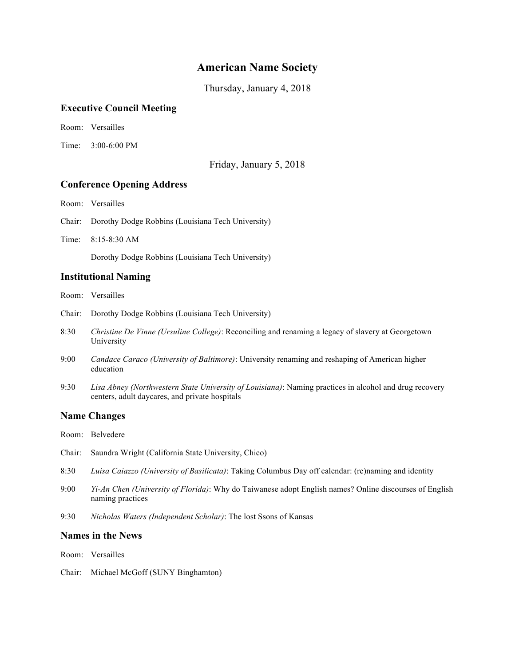# **American Name Society**

Thursday, January 4, 2018

## **Executive Council Meeting**

Room: Versailles

Time: 3:00-6:00 PM

Friday, January 5, 2018

## **Conference Opening Address**

Room: Versailles

- Chair: Dorothy Dodge Robbins (Louisiana Tech University)
- Time: 8:15-8:30 AM

Dorothy Dodge Robbins (Louisiana Tech University)

## **Institutional Naming**

Room: Versailles

- Chair: Dorothy Dodge Robbins (Louisiana Tech University)
- 8:30 *Christine De Vinne (Ursuline College)*: Reconciling and renaming a legacy of slavery at Georgetown University
- 9:00 *Candace Caraco (University of Baltimore)*: University renaming and reshaping of American higher education
- 9:30 *Lisa Abney (Northwestern State University of Louisiana)*: Naming practices in alcohol and drug recovery centers, adult daycares, and private hospitals

## **Name Changes**

- Room: Belvedere
- Chair: Saundra Wright (California State University, Chico)
- 8:30 *Luisa Caiazzo (University of Basilicata)*: Taking Columbus Day off calendar: (re)naming and identity
- 9:00 *Yi-An Chen (University of Florida)*: Why do Taiwanese adopt English names? Online discourses of English naming practices
- 9:30 *Nicholas Waters (Independent Scholar)*: The lost Ssons of Kansas

## **Names in the News**

Room: Versailles

Chair: Michael McGoff (SUNY Binghamton)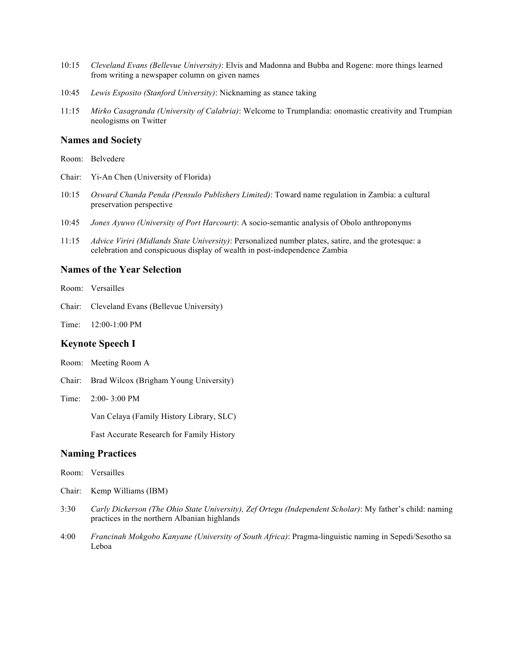- 10:15 *Cleveland Evans (Bellevue University)*: Elvis and Madonna and Bubba and Rogene: more things learned from writing a newspaper column on given names
- 10:45 *Lewis Esposito (Stanford University)*: Nicknaming as stance taking
- 11:15 *Mirko Casagranda (University of Calabria)*: Welcome to Trumplandia: onomastic creativity and Trumpian neologisms on Twitter

### **Names and Society**

- Room: Belvedere
- Chair: Yi-An Chen (University of Florida)
- 10:15 *Osward Chanda Penda (Pensulo Publishers Limited)*: Toward name regulation in Zambia: a cultural preservation perspective
- 10:45 *Jones Ayuwo (University of Port Harcourt)*: A socio-semantic analysis of Obolo anthroponyms
- 11:15 *Advice Viriri (Midlands State University)*: Personalized number plates, satire, and the grotesque: a celebration and conspicuous display of wealth in post-independence Zambia

# **Names of the Year Selection**

- Room: Versailles
- Chair: Cleveland Evans (Bellevue University)
- Time: 12:00-1:00 PM

### **Keynote Speech I**

- Room: Meeting Room A
- Chair: Brad Wilcox (Brigham Young University)
- Time: 2:00- 3:00 PM

Van Celaya (Family History Library, SLC)

Fast Accurate Research for Family History

#### **Naming Practices**

- Room: Versailles
- Chair: Kemp Williams (IBM)
- 3:30 *Carly Dickerson (The Ohio State University), Zef Ortegu (Independent Scholar)*: My father's child: naming practices in the northern Albanian highlands
- 4:00 *Francinah Mokgobo Kanyane (University of South Africa)*: Pragma-linguistic naming in Sepedi/Sesotho sa Leboa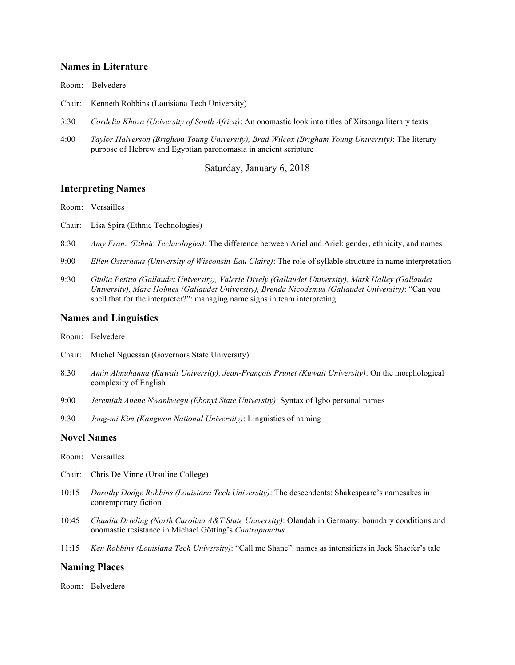#### **Names in Literature**

Room: Belvedere

- Chair: Kenneth Robbins (Louisiana Tech University)
- 3:30 *Cordelia Khoza (University of South Africa)*: An onomastic look into titles of Xitsonga literary texts
- 4:00 *Taylor Halverson (Brigham Young University), Brad Wilcox (Brigham Young University)*: The literary purpose of Hebrew and Egyptian paronomasia in ancient scripture

Saturday, January 6, 2018

#### **Interpreting Names**

Room: Versailles

- Chair: Lisa Spira (Ethnic Technologies)
- 8:30 *Amy Franz (Ethnic Technologies)*: The difference between Ariel and Ariel: gender, ethnicity, and names
- 9:00 *Ellen Osterhaus (University of Wisconsin-Eau Claire)*: The role of syllable structure in name interpretation
- 9:30 *Giulia Petitta (Gallaudet University), Valerie Dively (Gallaudet University), Mark Halley (Gallaudet University), Marc Holmes (Gallaudet University), Brenda Nicodemus (Gallaudet University)*: "Can you spell that for the interpreter?": managing name signs in team interpreting

#### **Names and Linguistics**

Room: Belvedere

- Chair: Michel Nguessan (Governors State University)
- 8:30 *Amin Almuhanna (Kuwait University), Jean-François Prunet (Kuwait University)*: On the morphological complexity of English
- 9:00 *Jeremiah Anene Nwankwegu (Ebonyi State University)*: Syntax of Igbo personal names
- 9:30 *Jong-mi Kim (Kangwon National University)*: Linguistics of naming

#### **Novel Names**

- Room: Versailles
- Chair: Chris De Vinne (Ursuline College)
- 10:15 *Dorothy Dodge Robbins (Louisiana Tech University)*: The descendents: Shakespeare's namesakes in contemporary fiction
- 10:45 *Claudia Drieling (North Carolina A&T State University)*: Olaudah in Germany: boundary conditions and onomastic resistance in Michael Götting's *Contrapunctus*
- 11:15 *Ken Robbins (Louisiana Tech University)*: "Call me Shane": names as intensifiers in Jack Shaefer's tale

#### **Naming Places**

Room: Belvedere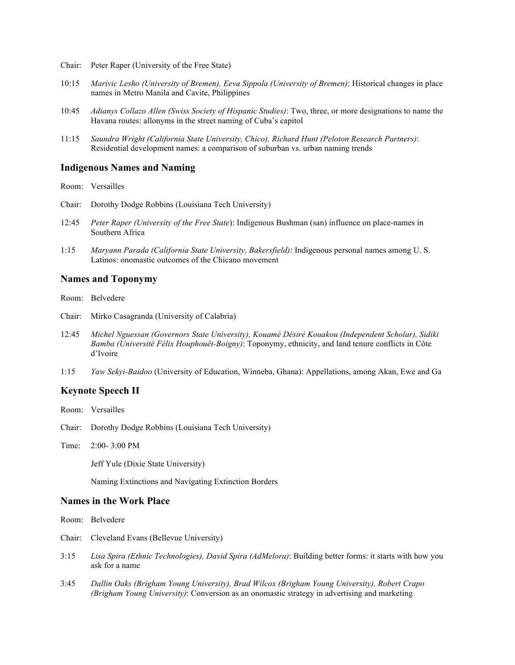- Chair: Peter Raper (University of the Free State)
- 10:15 *Marivic Lesho (University of Bremen), Eeva Sippola (University of Bremen)*: Historical changes in place names in Metro Manila and Cavite, Philippines
- 10:45 *Adianys Collazo Allen (Swiss Society of Hispanic Studies)*: Two, three, or more designations to name the Havana routes: allonyms in the street naming of Cuba's capitol
- 11:15 *Saundra Wright (California State University, Chico), Richard Hunt (Peloton Research Partners)*: Residential development names: a comparison of suburban vs. urban naming trends

#### **Indigenous Names and Naming**

Room: Versailles

- Chair: Dorothy Dodge Robbins (Louisiana Tech University)
- 12:45 *Peter Raper (University of the Free State*): Indigenous Bushman (san) influence on place-names in Southern Africa
- 1:15 *Maryann Parada (California State University, Bakersfield)*: Indigenous personal names among U. S. Latinos: onomastic outcomes of the Chicano movement

#### **Names and Toponymy**

Room: Belvedere

- Chair: Mirko Casagranda (University of Calabria)
- 12:45 *Michel Nguessan (Governors State University), Kouamé Désiré Kouakou (Independent Scholar), Sidiki Bamba (Université Félix Houphouët-Boigny)*: Toponymy, ethnicity, and land tenure conflicts in Côte d'Ivoire
- 1:15 *Yaw Sekyi-Baidoo* (University of Education, Winneba, Ghana): Appellations, among Akan, Ewe and Ga

## **Keynote Speech II**

- Room: Versailles
- Chair: Dorothy Dodge Robbins (Louisiana Tech University)
- Time: 2:00- 3:00 PM

Jeff Yule (Dixie State University)

Naming Extinctions and Navigating Extinction Borders

#### **Names in the Work Place**

- Room: Belvedere
- Chair: Cleveland Evans (Bellevue University)
- 3:15 *Lisa Spira (Ethnic Technologies), David Spira (AdMelora)*: Building better forms: it starts with how you ask for a name
- 3:45 *Dallin Oaks (Brigham Young University), Brad Wilcox (Brigham Young University), Robert Crapo (Brigham Young University)*: Conversion as an onomastic strategy in advertising and marketing